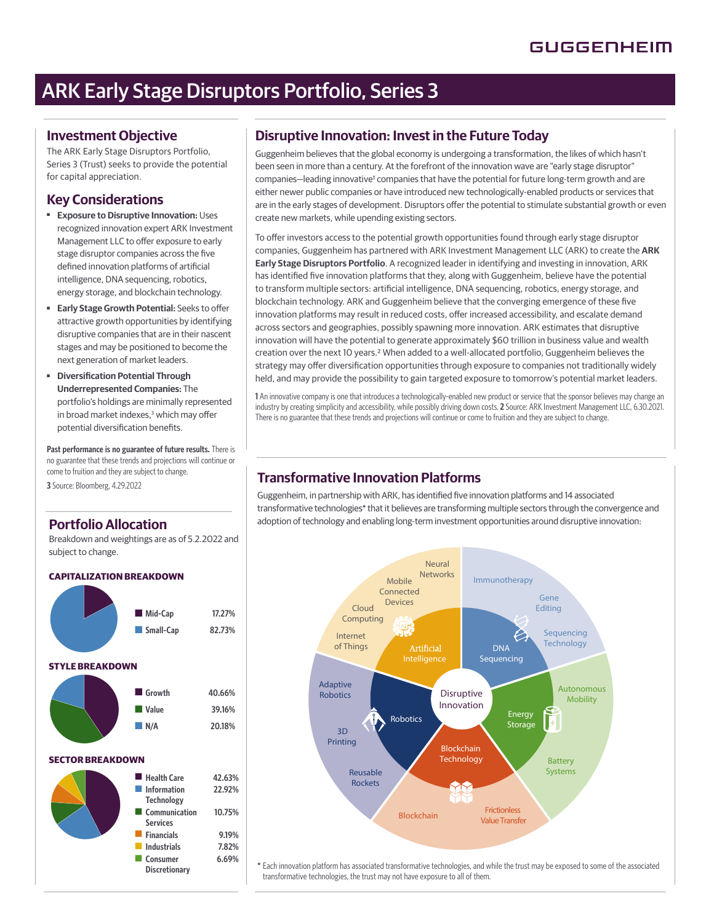# ARK Early Stage Disruptors Portfolio, Series 3

### **Investment Objective**

The ARK Early Stage Disruptors Portfolio, Series 3 (Trust) seeks to provide the potential for capital appreciation.

## **Key Considerations**

- ■ **Exposure to Disruptive Innovation:** Uses recognized innovation expert ARK Investment Management LLC to offer exposure to early stage disruptor companies across the five defined innovation platforms of artificial intelligence, DNA sequencing, robotics, energy storage, and blockchain technology.
- **Early Stage Growth Potential: Seeks to offer** attractive growth opportunities by identifying disruptive companies that are in their nascent stages and may be positioned to become the next generation of market leaders.
- **Diversification Potential Through Underrepresented Companies:** The portfolio's holdings are minimally represented in broad market indexes,<sup>3</sup> which may offer potential diversification benefits.

Past performance is no guarantee of future results. There is no guarantee that these trends and projections will continue or come to fruition and they are subject to change.

**3** Source: Bloomberg, 4.29.2022

### **Portfolio Allocation**

Breakdown and weightings are as of 5.2.2022 and subject to change.

### **CAPITALIZATION BREAKDOWN**



### **Disruptive Innovation: Invest in the Future Today**

Guggenheim believes that the global economy is undergoing a transformation, the likes of which hasn't been seen in more than a century. At the forefront of the innovation wave are "early stage disruptor" companies-leading innovative<sup>1</sup> companies that have the potential for future long-term growth and are either newer public companies or have introduced new technologically-enabled products or services that are in the early stages of development. Disruptors offer the potential to stimulate substantial growth or even create new markets, while upending existing sectors.

To offer investors access to the potential growth opportunities found through early stage disruptor companies, Guggenheim has partnered with ARK Investment Management LLC (ARK) to create the **ARK Early Stage Disruptors Portfolio**. A recognized leader in identifying and investing in innovation, ARK has identified five innovation platforms that they, along with Guggenheim, believe have the potential to transform multiple sectors: artificial intelligence, DNA sequencing, robotics, energy storage, and blockchain technology. ARK and Guggenheim believe that the converging emergence of these five innovation platforms may result in reduced costs, offer increased accessibility, and escalate demand across sectors and geographies, possibly spawning more innovation. ARK estimates that disruptive innovation will have the potential to generate approximately \$60 trillion in business value and wealth creation over the next 10 years.2 When added to a well-allocated portfolio, Guggenheim believes the strategy may offer diversification opportunities through exposure to companies not traditionally widely held, and may provide the possibility to gain targeted exposure to tomorrow's potential market leaders.

**1** An innovative company is one that introduces a technologically-enabled new product or service that the sponsor believes may change an industry by creating simplicity and accessibility, while possibly driving down costs. **2** Source: ARK Investment Management LLC, 6.30.2021. There is no guarantee that these trends and projections will continue or come to fruition and they are subject to change.

# **Transformative Innovation Platforms**

Guggenheim, in partnership with ARK, has identified five innovation platforms and 14 associated transformative technologies\* that it believes are transforming multiple sectors through the convergence and adoption of technology and enabling long-term investment opportunities around disruptive innovation:



\*Each innovation platform has associated transformative technologies, and while the trust may be exposed to some of the associated transformative technologies, the trust may not have exposure to all of them.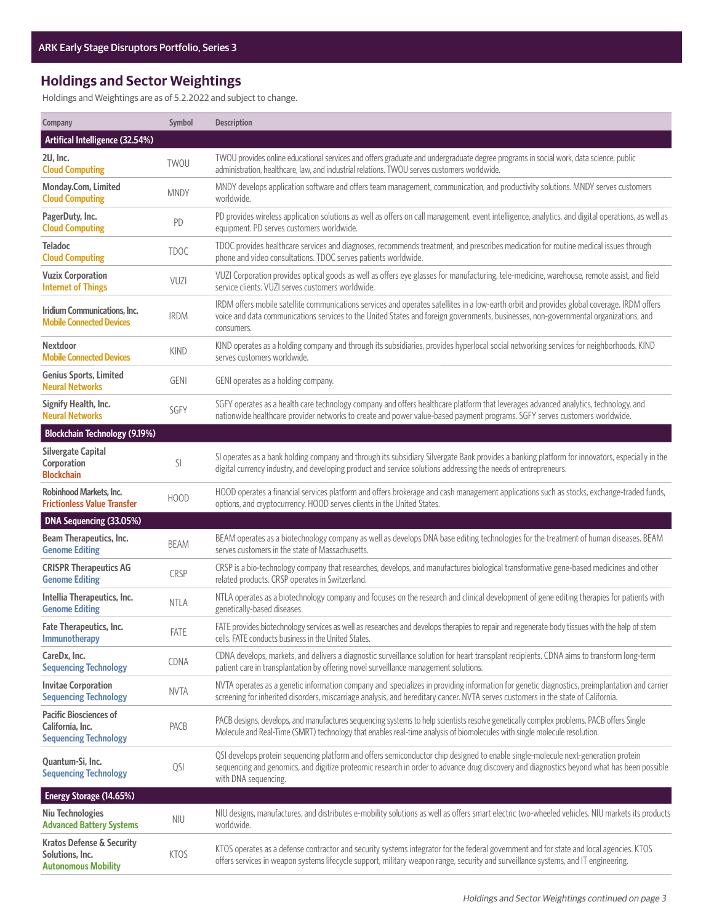# **Holdings and Sector Weightings**

Holdings and Weightings are as of 5.2.2022 and subject to change.

| Company                                                                               | Symbol      | <b>Description</b>                                                                                                                                                                                                                                                                                     |  |
|---------------------------------------------------------------------------------------|-------------|--------------------------------------------------------------------------------------------------------------------------------------------------------------------------------------------------------------------------------------------------------------------------------------------------------|--|
| Artifical Intelligence (32.54%)                                                       |             |                                                                                                                                                                                                                                                                                                        |  |
| 2U, Inc.<br><b>Cloud Computing</b>                                                    | TWOU        | TWOU provides online educational services and offers graduate and undergraduate degree programs in social work, data science, public<br>administration, healthcare, law, and industrial relations. TWOU serves customers worldwide.                                                                    |  |
| Monday.Com, Limited<br><b>Cloud Computing</b>                                         | <b>MNDY</b> | MNDY develops application software and offers team management, communication, and productivity solutions. MNDY serves customers<br>worldwide.                                                                                                                                                          |  |
| PagerDuty, Inc.<br><b>Cloud Computing</b>                                             | PD          | PD provides wireless application solutions as well as offers on call management, event intelligence, analytics, and digital operations, as well as<br>equipment. PD serves customers worldwide.                                                                                                        |  |
| <b>Teladoc</b><br><b>Cloud Computing</b>                                              | <b>TDOC</b> | TDOC provides healthcare services and diagnoses, recommends treatment, and prescribes medication for routine medical issues through<br>phone and video consultations. TDOC serves patients worldwide.                                                                                                  |  |
| <b>Vuzix Corporation</b><br><b>Internet of Things</b>                                 | VUZI        | VUZI Corporation provides optical goods as well as offers eye glasses for manufacturing, tele-medicine, warehouse, remote assist, and field<br>service clients. VUZI serves customers worldwide.                                                                                                       |  |
| Iridium Communications, Inc.<br><b>Mobile Connected Devices</b>                       | <b>IRDM</b> | IRDM offers mobile satellite communications services and operates satellites in a low-earth orbit and provides global coverage. IRDM offers<br>voice and data communications services to the United States and foreign governments, businesses, non-governmental organizations, and<br>consumers.      |  |
| <b>Nextdoor</b><br><b>Mobile Connected Devices</b>                                    | <b>KIND</b> | KIND operates as a holding company and through its subsidiaries, provides hyperlocal social networking services for neighborhoods. KIND<br>serves customers worldwide.                                                                                                                                 |  |
| <b>Genius Sports, Limited</b><br><b>Neural Networks</b>                               | <b>GENI</b> | GENI operates as a holding company.                                                                                                                                                                                                                                                                    |  |
| Signify Health, Inc.<br><b>Neural Networks</b>                                        | SGFY        | SGFY operates as a health care technology company and offers healthcare platform that leverages advanced analytics, technology, and<br>nationwide healthcare provider networks to create and power value-based payment programs. SGFY serves customers worldwide.                                      |  |
| <b>Blockchain Technology (9.19%)</b>                                                  |             |                                                                                                                                                                                                                                                                                                        |  |
| <b>Silvergate Capital</b><br>Corporation<br><b>Blockchain</b>                         | SI          | SI operates as a bank holding company and through its subsidiary Silvergate Bank provides a banking platform for innovators, especially in the<br>digital currency industry, and developing product and service solutions addressing the needs of entrepreneurs.                                       |  |
| Robinhood Markets, Inc.<br><b>Frictionless Value Transfer</b>                         | <b>HOOD</b> | HOOD operates a financial services platform and offers brokerage and cash management applications such as stocks, exchange-traded funds,<br>options, and cryptocurrency. HOOD serves clients in the United States.                                                                                     |  |
| DNA Sequencing (33.05%)                                                               |             |                                                                                                                                                                                                                                                                                                        |  |
| <b>Beam Therapeutics, Inc.</b><br><b>Genome Editing</b>                               | <b>BEAM</b> | BEAM operates as a biotechnology company as well as develops DNA base editing technologies for the treatment of human diseases. BEAM<br>serves customers in the state of Massachusetts.                                                                                                                |  |
| <b>CRISPR Therapeutics AG</b><br><b>Genome Editing</b>                                | <b>CRSP</b> | CRSP is a bio-technology company that researches, develops, and manufactures biological transformative gene-based medicines and other<br>related products. CRSP operates in Switzerland.                                                                                                               |  |
| Intellia Therapeutics, Inc.<br><b>Genome Editing</b>                                  | <b>NTLA</b> | NTLA operates as a biotechnology company and focuses on the research and clinical development of gene editing therapies for patients with<br>genetically-based diseases.                                                                                                                               |  |
| <b>Fate Therapeutics, Inc.</b><br>Immunotherapy                                       | FATE        | FATE provides biotechnology services as well as researches and develops therapies to repair and regenerate body tissues with the help of stem<br>cells. FATE conducts business in the United States.                                                                                                   |  |
| CareDx, Inc.<br><b>Sequencing Technology</b>                                          | CDNA        | CDNA develops, markets, and delivers a diagnostic surveillance solution for heart transplant recipients. CDNA aims to transform long-term<br>patient care in transplantation by offering novel surveillance management solutions.                                                                      |  |
| <b>Invitae Corporation</b><br><b>Sequencing Technology</b>                            | <b>NVTA</b> | NVTA operates as a genetic information company and specializes in providing information for genetic diagnostics, preimplantation and carrier<br>screening for inherited disorders, miscarriage analysis, and hereditary cancer. NVTA serves customers in the state of California.                      |  |
| <b>Pacific Biosciences of</b><br>California, Inc.<br><b>Sequencing Technology</b>     | PACB        | PACB designs, develops, and manufactures sequencing systems to help scientists resolve genetically complex problems. PACB offers Single<br>Molecule and Real-Time (SMRT) technology that enables real-time analysis of biomolecules with single molecule resolution.                                   |  |
| Quantum-Si, Inc.<br><b>Sequencing Technology</b>                                      | QSI         | QSI develops protein sequencing platform and offers semiconductor chip designed to enable single-molecule next-generation protein<br>sequencing and genomics, and digitize proteomic research in order to advance drug discovery and diagnostics beyond what has been possible<br>with DNA sequencing. |  |
| Energy Storage (14.65%)                                                               |             |                                                                                                                                                                                                                                                                                                        |  |
| <b>Niu Technologies</b><br><b>Advanced Battery Systems</b>                            | <b>NIU</b>  | NIU designs, manufactures, and distributes e-mobility solutions as well as offers smart electric two-wheeled vehicles. NIU markets its products<br>worldwide.                                                                                                                                          |  |
| <b>Kratos Defense &amp; Security</b><br>Solutions, Inc.<br><b>Autonomous Mobility</b> | <b>KTOS</b> | KTOS operates as a defense contractor and security systems integrator for the federal government and for state and local agencies. KTOS<br>offers services in weapon systems lifecycle support, military weapon range, security and surveillance systems, and IT engineering.                          |  |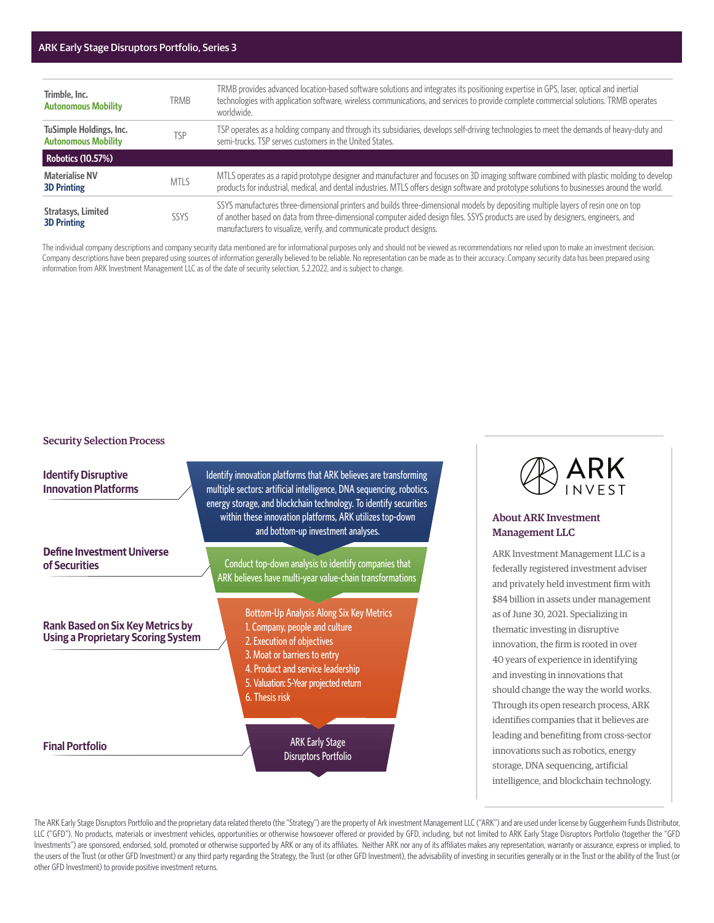#### ARK Early Stage Disruptors Portfolio, Series 3

| Trimble, Inc.<br><b>Autonomous Mobility</b>           | <b>TRMB</b> | TRMB provides advanced location-based software solutions and integrates its positioning expertise in GPS, laser, optical and inertial<br>technologies with application software, wireless communications, and services to provide complete commercial solutions. TRMB operates<br>worldwide.                                                   |  |
|-------------------------------------------------------|-------------|------------------------------------------------------------------------------------------------------------------------------------------------------------------------------------------------------------------------------------------------------------------------------------------------------------------------------------------------|--|
| TuSimple Holdings, Inc.<br><b>Autonomous Mobility</b> | TSP         | TSP operates as a holding company and through its subsidiaries, develops self-driving technologies to meet the demands of heavy-duty and<br>semi-trucks. TSP serves customers in the United States.                                                                                                                                            |  |
| <b>Robotics (10.57%)</b>                              |             |                                                                                                                                                                                                                                                                                                                                                |  |
| <b>Materialise NV</b><br><b>3D Printing</b>           | <b>MTLS</b> | MTLS operates as a rapid prototype designer and manufacturer and focuses on 3D imaging software combined with plastic molding to develop<br>products for industrial, medical, and dental industries. MTLS offers design software and prototype solutions to businesses around the world.                                                       |  |
| <b>Stratasys, Limited</b><br><b>3D Printing</b>       | <b>SSYS</b> | SSYS manufactures three-dimensional printers and builds three-dimensional models by depositing multiple layers of resin one on top<br>of another based on data from three-dimensional computer aided design files. SSYS products are used by designers, engineers, and<br>manufacturers to visualize, verify, and communicate product designs. |  |

The individual company descriptions and company security data mentioned are for informational purposes only and should not be viewed as recommendations nor relied upon to make an investment decision. Company descriptions have been prepared using sources of information generally believed to be reliable. No representation can be made as to their accuracy. Company security data has been prepared using information from ARK Investment Management LLC as of the date of security selection, 5.2.2022, and is subject to change.

#### Security Selection Process

**Identify Disruptive Innovation Platforms** and bottom-up investment analyses. **Define Investment Universe** Conduct top-down analysis to identify companies that **of Securities** Bottom-Up Analysis Along Six Key Metrics **Rank Based on Six Key Metrics by** 1. Company, people and culture **Using a Proprietary Scoring System** 2. Execution of objectives 3. Moat or barriers to entry 4. Product and service leadership 5. Valuation: 5-Year projected return 6. Thesis risk

#### **Final Portfolio**

Identify innovation platforms that ARK believes are transforming multiple sectors: artificial intelligence, DNA sequencing, robotics, energy storage, and blockchain technology. To identify securities within these innovation platforms, ARK utilizes top-down

ARK believes have multi-year value-chain transformations

ARK Early Stage Disruptors Portfolio



### About ARK Investment Management LLC

ARK Investment Management LLC is a federally registered investment adviser and privately held investment firm with \$84 billion in assets under management as of June 30, 2021. Specializing in thematic investing in disruptive innovation, the firm is rooted in over 40 years of experience in identifying and investing in innovations that should change the way the world works. Through its open research process, ARK identifies companies that it believes are leading and benefiting from cross-sector innovations such as robotics, energy storage, DNA sequencing, artificial intelligence, and blockchain technology.

The ARK Early Stage Disruptors Portfolio and the proprietary data related thereto (the "Strategy") are the property of Ark investment Management LLC ("ARK") and are used under license by Guggenheim Funds Distributor, LLC ("GFD"). No products, materials or investment vehicles, opportunities or otherwise howsoever offered or provided by GFD, including, but not limited to ARK Early Stage Disruptors Portfolio (together the "GFD Investments") are sponsored, endorsed, sold, promoted or otherwise supported by ARK or any of its affiliates. Neither ARK nor any of its affiliates makes any representation, warranty or assurance, express or implied, to the users of the Trust (or other GFD Investment) or any third party regarding the Strategy, the Trust (or other GFD Investment), the advisability of investing in securities generally or in the Trust or the ability of the T other GFD Investment) to provide positive investment returns.